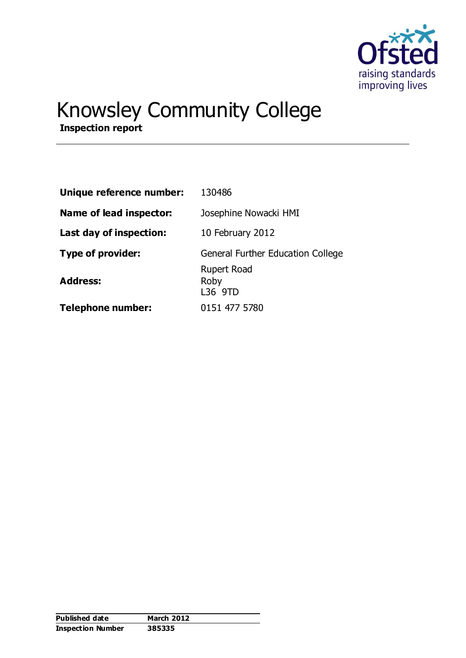

# Knowsley Community College

**Inspection report**

| Unique reference number: | 130486                                |
|--------------------------|---------------------------------------|
| Name of lead inspector:  | Josephine Nowacki HMI                 |
| Last day of inspection:  | 10 February 2012                      |
| Type of provider:        | General Further Education College     |
| <b>Address:</b>          | <b>Rupert Road</b><br>Roby<br>L36 9TD |
| <b>Telephone number:</b> | 0151 477 5780                         |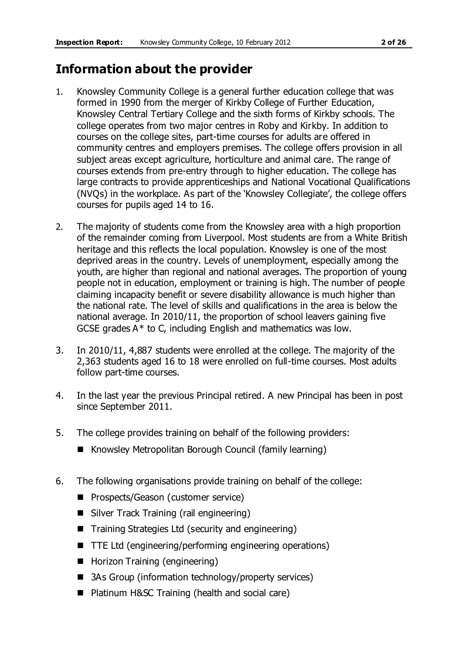# **Information about the provider**

- 1. Knowsley Community College is a general further education college that was formed in 1990 from the merger of Kirkby College of Further Education, Knowsley Central Tertiary College and the sixth forms of Kirkby schools. The college operates from two major centres in Roby and Kirkby. In addition to courses on the college sites, part-time courses for adults are offered in community centres and employers premises. The college offers provision in all subject areas except agriculture, horticulture and animal care. The range of courses extends from pre-entry through to higher education. The college has large contracts to provide apprenticeships and National Vocational Qualifications (NVQs) in the workplace. As part of the 'Knowsley Collegiate', the college offers courses for pupils aged 14 to 16.
- 2. The majority of students come from the Knowsley area with a high proportion of the remainder coming from Liverpool. Most students are from a White British heritage and this reflects the local population. Knowsley is one of the most deprived areas in the country. Levels of unemployment, especially among the youth, are higher than regional and national averages. The proportion of young people not in education, employment or training is high. The number of people claiming incapacity benefit or severe disability allowance is much higher than the national rate. The level of skills and qualifications in the area is below the national average. In 2010/11, the proportion of school leavers gaining five GCSE grades  $A^*$  to C, including English and mathematics was low.
- 3. In 2010/11, 4,887 students were enrolled at the college. The majority of the 2,363 students aged 16 to 18 were enrolled on full-time courses. Most adults follow part-time courses.
- 4. In the last year the previous Principal retired. A new Principal has been in post since September 2011.
- 5. The college provides training on behalf of the following providers:
	- Knowsley Metropolitan Borough Council (family learning)
- 6. The following organisations provide training on behalf of the college:
	- **Prospects/Geason (customer service)**
	- Silver Track Training (rail engineering)
	- Training Strategies Ltd (security and engineering)
	- TTE Ltd (engineering/performing engineering operations)
	- Horizon Training (engineering)
	- 3As Group (information technology/property services)
	- Platinum H&SC Training (health and social care)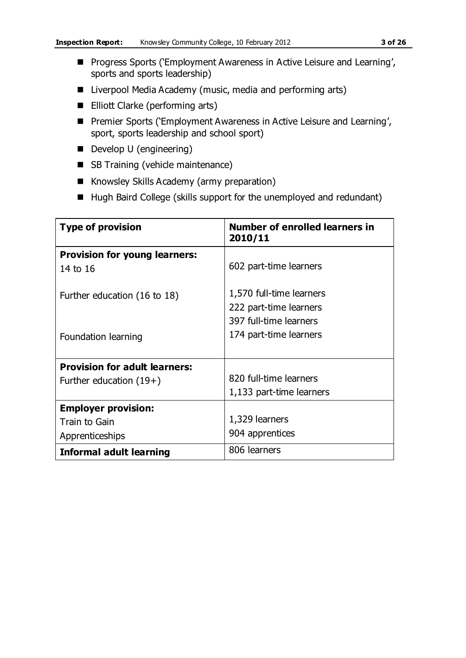- **Progress Sports ('Employment Awareness in Active Leisure and Learning',** sports and sports leadership)
- Liverpool Media Academy (music, media and performing arts)
- Elliott Clarke (performing arts)
- Premier Sports ('Employment Awareness in Active Leisure and Learning', sport, sports leadership and school sport)
- Develop U (engineering)
- SB Training (vehicle maintenance)
- Knowsley Skills Academy (army preparation)
- Hugh Baird College (skills support for the unemployed and redundant)

| <b>Type of provision</b>             | <b>Number of enrolled learners in</b><br>2010/11 |
|--------------------------------------|--------------------------------------------------|
| <b>Provision for young learners:</b> |                                                  |
| 14 to 16                             | 602 part-time learners                           |
| Further education (16 to 18)         | 1,570 full-time learners                         |
|                                      | 222 part-time learners                           |
|                                      | 397 full-time learners                           |
| Foundation learning                  | 174 part-time learners                           |
|                                      |                                                  |
| <b>Provision for adult learners:</b> |                                                  |
| Further education $(19+)$            | 820 full-time learners                           |
|                                      | 1,133 part-time learners                         |
| <b>Employer provision:</b>           |                                                  |
| Train to Gain                        | 1,329 learners                                   |
| Apprenticeships                      | 904 apprentices                                  |
| Informal adult learning              | 806 learners                                     |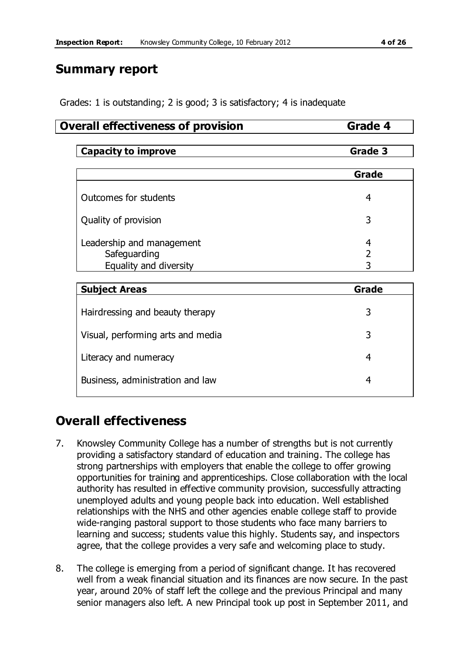## **Summary report**

Grades: 1 is outstanding; 2 is good; 3 is satisfactory; 4 is inadequate

#### **Overall effectiveness of provision Grade 4**

| <b>Capacity to improve</b>                                          | Grade 3 |  |  |  |  |
|---------------------------------------------------------------------|---------|--|--|--|--|
|                                                                     | Grade   |  |  |  |  |
| Outcomes for students                                               | 4       |  |  |  |  |
| Quality of provision                                                | 3       |  |  |  |  |
| Leadership and management<br>Safeguarding<br>Equality and diversity | 4<br>3  |  |  |  |  |
|                                                                     |         |  |  |  |  |

| <b>Subject Areas</b>              | Grade |  |  |
|-----------------------------------|-------|--|--|
| Hairdressing and beauty therapy   | 3     |  |  |
| Visual, performing arts and media | 3     |  |  |
| Literacy and numeracy             | 4     |  |  |
| Business, administration and law  | 4     |  |  |

# **Overall effectiveness**

- 7. Knowsley Community College has a number of strengths but is not currently providing a satisfactory standard of education and training. The college has strong partnerships with employers that enable the college to offer growing opportunities for training and apprenticeships. Close collaboration with the local authority has resulted in effective community provision, successfully attracting unemployed adults and young people back into education. Well established relationships with the NHS and other agencies enable college staff to provide wide-ranging pastoral support to those students who face many barriers to learning and success; students value this highly. Students say, and inspectors agree, that the college provides a very safe and welcoming place to study.
- 8. The college is emerging from a period of significant change. It has recovered well from a weak financial situation and its finances are now secure. In the past year, around 20% of staff left the college and the previous Principal and many senior managers also left. A new Principal took up post in September 2011, and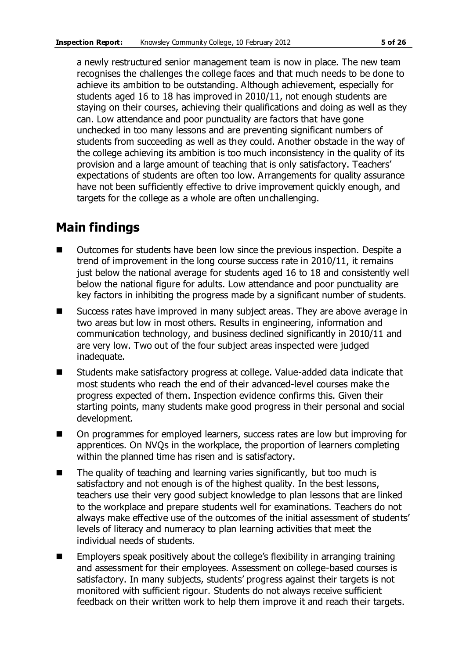a newly restructured senior management team is now in place. The new team recognises the challenges the college faces and that much needs to be done to achieve its ambition to be outstanding. Although achievement, especially for students aged 16 to 18 has improved in 2010/11, not enough students are staying on their courses, achieving their qualifications and doing as well as they can. Low attendance and poor punctuality are factors that have gone unchecked in too many lessons and are preventing significant numbers of students from succeeding as well as they could. Another obstacle in the way of the college achieving its ambition is too much inconsistency in the quality of its provision and a large amount of teaching that is only satisfactory. Teachers' expectations of students are often too low. Arrangements for quality assurance have not been sufficiently effective to drive improvement quickly enough, and targets for the college as a whole are often unchallenging.

# **Main findings**

- Outcomes for students have been low since the previous inspection. Despite a trend of improvement in the long course success rate in 2010/11, it remains just below the national average for students aged 16 to 18 and consistently well below the national figure for adults. Low attendance and poor punctuality are key factors in inhibiting the progress made by a significant number of students.
- Success rates have improved in many subject areas. They are above average in two areas but low in most others. Results in engineering, information and communication technology, and business declined significantly in 2010/11 and are very low. Two out of the four subject areas inspected were judged inadequate.
- Students make satisfactory progress at college. Value-added data indicate that most students who reach the end of their advanced-level courses make the progress expected of them. Inspection evidence confirms this. Given their starting points, many students make good progress in their personal and social development.
- On programmes for employed learners, success rates are low but improving for apprentices. On NVQs in the workplace, the proportion of learners completing within the planned time has risen and is satisfactory.
- $\blacksquare$  The quality of teaching and learning varies significantly, but too much is satisfactory and not enough is of the highest quality. In the best lessons, teachers use their very good subject knowledge to plan lessons that are linked to the workplace and prepare students well for examinations. Teachers do not always make effective use of the outcomes of the initial assessment of students' levels of literacy and numeracy to plan learning activities that meet the individual needs of students.
- $\blacksquare$  Employers speak positively about the college's flexibility in arranging training and assessment for their employees. Assessment on college-based courses is satisfactory. In many subjects, students' progress against their targets is not monitored with sufficient rigour. Students do not always receive sufficient feedback on their written work to help them improve it and reach their targets.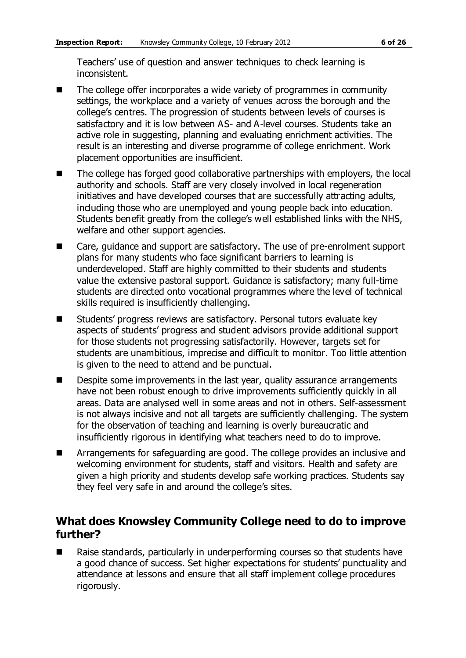Teachers' use of question and answer techniques to check learning is inconsistent.

- The college offer incorporates a wide variety of programmes in community settings, the workplace and a variety of venues across the borough and the college's centres. The progression of students between levels of courses is satisfactory and it is low between AS- and A-level courses. Students take an active role in suggesting, planning and evaluating enrichment activities. The result is an interesting and diverse programme of college enrichment. Work placement opportunities are insufficient.
- The college has forged good collaborative partnerships with employers, the local authority and schools. Staff are very closely involved in local regeneration initiatives and have developed courses that are successfully attracting adults, including those who are unemployed and young people back into education. Students benefit greatly from the college's well established links with the NHS, welfare and other support agencies.
- Care, guidance and support are satisfactory. The use of pre-enrolment support plans for many students who face significant barriers to learning is underdeveloped. Staff are highly committed to their students and students value the extensive pastoral support. Guidance is satisfactory; many full-time students are directed onto vocational programmes where the level of technical skills required is insufficiently challenging.
- Students' progress reviews are satisfactory. Personal tutors evaluate key aspects of students' progress and student advisors provide additional support for those students not progressing satisfactorily. However, targets set for students are unambitious, imprecise and difficult to monitor. Too little attention is given to the need to attend and be punctual.
- **Despite some improvements in the last year, quality assurance arrangements** have not been robust enough to drive improvements sufficiently quickly in all areas. Data are analysed well in some areas and not in others. Self-assessment is not always incisive and not all targets are sufficiently challenging. The system for the observation of teaching and learning is overly bureaucratic and insufficiently rigorous in identifying what teachers need to do to improve.
- **EXTERGHM** Arrangements for safeguarding are good. The college provides an inclusive and welcoming environment for students, staff and visitors. Health and safety are given a high priority and students develop safe working practices. Students say they feel very safe in and around the college's sites.

#### **What does Knowsley Community College need to do to improve further?**

■ Raise standards, particularly in underperforming courses so that students have a good chance of success. Set higher expectations for students' punctuality and attendance at lessons and ensure that all staff implement college procedures rigorously.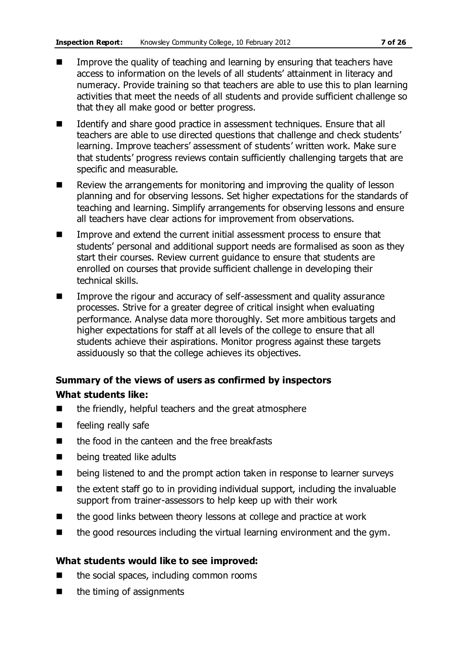- **IMPROVE THE GUALARY IN THE STARK IS A THE VIOLET IN THE VIOLET IS A** Improve the quality of teaching and learning that teachers have access to information on the levels of all students' attainment in literacy and numeracy. Provide training so that teachers are able to use this to plan learning activities that meet the needs of all students and provide sufficient challenge so that they all make good or better progress.
- If Identify and share good practice in assessment techniques. Ensure that all teachers are able to use directed questions that challenge and check students' learning. Improve teachers' assessment of students' written work. Make sure that students' progress reviews contain sufficiently challenging targets that are specific and measurable.
- Review the arrangements for monitoring and improving the quality of lesson planning and for observing lessons. Set higher expectations for the standards of teaching and learning. Simplify arrangements for observing lessons and ensure all teachers have clear actions for improvement from observations.
- Improve and extend the current initial assessment process to ensure that students' personal and additional support needs are formalised as soon as they start their courses. Review current guidance to ensure that students are enrolled on courses that provide sufficient challenge in developing their technical skills.
- Improve the rigour and accuracy of self-assessment and quality assurance processes. Strive for a greater degree of critical insight when evaluating performance. Analyse data more thoroughly. Set more ambitious targets and higher expectations for staff at all levels of the college to ensure that all students achieve their aspirations. Monitor progress against these targets assiduously so that the college achieves its objectives.

# **Summary of the views of users as confirmed by inspectors**

#### **What students like:**

- the friendly, helpful teachers and the great atmosphere
- **E** feeling really safe
- $\blacksquare$  the food in the canteen and the free breakfasts
- **Delacy being treated like adults**
- **E** being listened to and the prompt action taken in response to learner surveys
- $\blacksquare$  the extent staff go to in providing individual support, including the invaluable support from trainer-assessors to help keep up with their work
- $\blacksquare$  the good links between theory lessons at college and practice at work
- $\blacksquare$  the good resources including the virtual learning environment and the gym.

#### **What students would like to see improved:**

- $\blacksquare$  the social spaces, including common rooms
- $\blacksquare$  the timing of assignments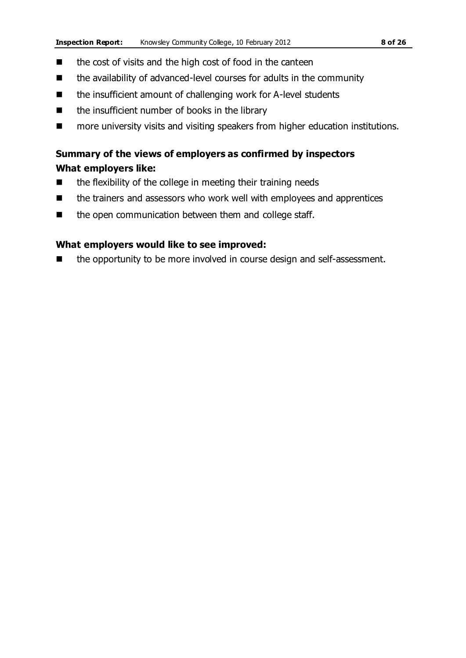- $\blacksquare$  the cost of visits and the high cost of food in the canteen
- the availability of advanced-level courses for adults in the community
- the insufficient amount of challenging work for A-level students
- $\blacksquare$  the insufficient number of books in the library
- more university visits and visiting speakers from higher education institutions.

### **Summary of the views of employers as confirmed by inspectors What employers like:**

- the flexibility of the college in meeting their training needs
- the trainers and assessors who work well with employees and apprentices
- the open communication between them and college staff.

#### **What employers would like to see improved:**

■ the opportunity to be more involved in course design and self-assessment.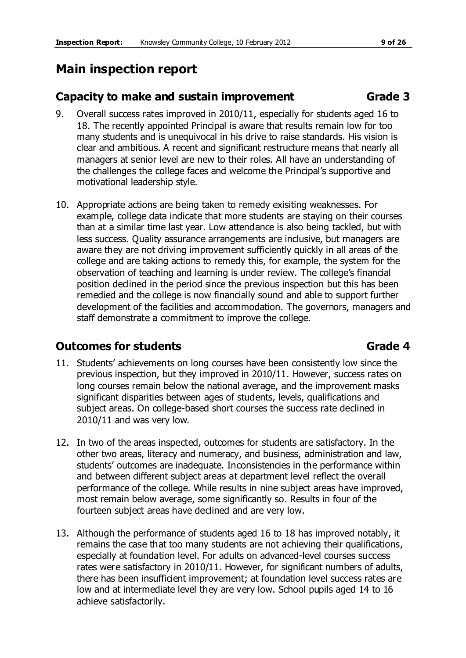# **Main inspection report**

#### **Capacity to make and sustain improvement Fig. 3** Grade 3

- 9. Overall success rates improved in 2010/11, especially for students aged 16 to 18. The recently appointed Principal is aware that results remain low for too many students and is unequivocal in his drive to raise standards. His vision is clear and ambitious. A recent and significant restructure means that nearly all managers at senior level are new to their roles. All have an understanding of the challenges the college faces and welcome the Principal's supportive and motivational leadership style.
- 10. Appropriate actions are being taken to remedy exisiting weaknesses. For example, college data indicate that more students are staying on their courses than at a similar time last year. Low attendance is also being tackled, but with less success. Quality assurance arrangements are inclusive, but managers are aware they are not driving improvement sufficiently quickly in all areas of the college and are taking actions to remedy this, for example, the system for the observation of teaching and learning is under review. The college's financial position declined in the period since the previous inspection but this has been remedied and the college is now financially sound and able to support further development of the facilities and accommodation. The governors, managers and staff demonstrate a commitment to improve the college.

### **Outcomes for students Grade 4**

- 11. Students' achievements on long courses have been consistently low since the previous inspection, but they improved in 2010/11. However, success rates on long courses remain below the national average, and the improvement masks significant disparities between ages of students, levels, qualifications and subject areas. On college-based short courses the success rate declined in 2010/11 and was very low.
	- 12. In two of the areas inspected, outcomes for students are satisfactory. In the other two areas, literacy and numeracy, and business, administration and law, students' outcomes are inadequate. Inconsistencies in the performance within and between different subject areas at department level reflect the overall performance of the college. While results in nine subject areas have improved, most remain below average, some significantly so. Results in four of the fourteen subject areas have declined and are very low.
	- 13. Although the performance of students aged 16 to 18 has improved notably, it remains the case that too many students are not achieving their qualifications, especially at foundation level. For adults on advanced-level courses success rates were satisfactory in 2010/11. However, for significant numbers of adults, there has been insufficient improvement; at foundation level success rates are low and at intermediate level they are very low. School pupils aged 14 to 16 achieve satisfactorily.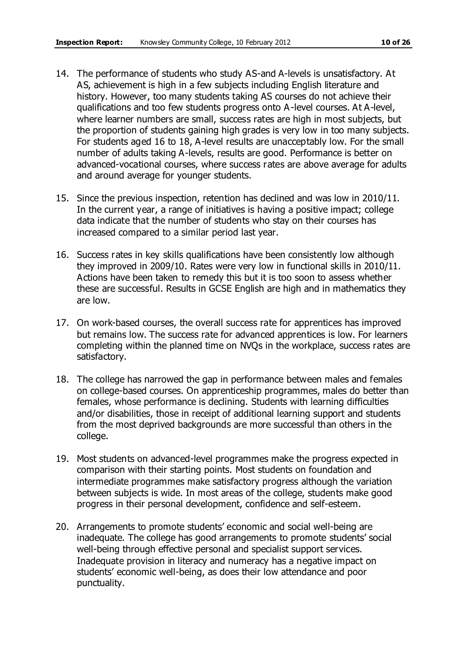- 14. The performance of students who study AS-and A-levels is unsatisfactory. At AS, achievement is high in a few subjects including English literature and history. However, too many students taking AS courses do not achieve their qualifications and too few students progress onto A-level courses. At A-level, where learner numbers are small, success rates are high in most subjects, but the proportion of students gaining high grades is very low in too many subjects. For students aged 16 to 18, A-level results are unacceptably low. For the small number of adults taking A-levels, results are good. Performance is better on advanced-vocational courses, where success rates are above average for adults and around average for younger students.
- 15. Since the previous inspection, retention has declined and was low in 2010/11. In the current year, a range of initiatives is having a positive impact; college data indicate that the number of students who stay on their courses has increased compared to a similar period last year.
- 16. Success rates in key skills qualifications have been consistently low although they improved in 2009/10. Rates were very low in functional skills in 2010/11. Actions have been taken to remedy this but it is too soon to assess whether these are successful. Results in GCSE English are high and in mathematics they are low.
- 17. On work-based courses, the overall success rate for apprentices has improved but remains low. The success rate for advanced apprentices is low. For learners completing within the planned time on NVQs in the workplace, success rates are satisfactory.
- 18. The college has narrowed the gap in performance between males and females on college-based courses. On apprenticeship programmes, males do better than females, whose performance is declining. Students with learning difficulties and/or disabilities, those in receipt of additional learning support and students from the most deprived backgrounds are more successful than others in the college.
- 19. Most students on advanced-level programmes make the progress expected in comparison with their starting points. Most students on foundation and intermediate programmes make satisfactory progress although the variation between subjects is wide. In most areas of the college, students make good progress in their personal development, confidence and self-esteem.
- 20. Arrangements to promote students' economic and social well-being are inadequate. The college has good arrangements to promote students' social well-being through effective personal and specialist support services. Inadequate provision in literacy and numeracy has a negative impact on students' economic well-being, as does their low attendance and poor punctuality.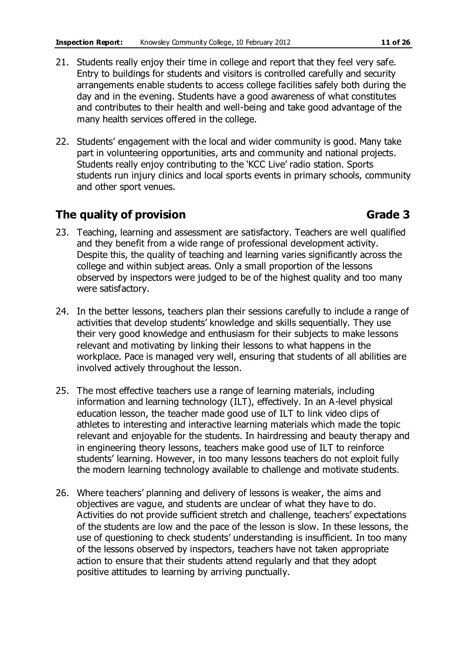- 21. Students really enjoy their time in college and report that they feel very safe. Entry to buildings for students and visitors is controlled carefully and security arrangements enable students to access college facilities safely both during the day and in the evening. Students have a good awareness of what constitutes and contributes to their health and well-being and take good advantage of the many health services offered in the college.
- 22. Students' engagement with the local and wider community is good. Many take part in volunteering opportunities, arts and community and national projects. Students really enjoy contributing to the 'KCC Live' radio station. Sports students run injury clinics and local sports events in primary schools, community and other sport venues.

### **The quality of provision Grade 3**

- 23. Teaching, learning and assessment are satisfactory. Teachers are well qualified and they benefit from a wide range of professional development activity. Despite this, the quality of teaching and learning varies significantly across the college and within subject areas. Only a small proportion of the lessons observed by inspectors were judged to be of the highest quality and too many were satisfactory.
- 24. In the better lessons, teachers plan their sessions carefully to include a range of activities that develop students' knowledge and skills sequentially. They use their very good knowledge and enthusiasm for their subjects to make lessons relevant and motivating by linking their lessons to what happens in the workplace. Pace is managed very well, ensuring that students of all abilities are involved actively throughout the lesson.
- 25. The most effective teachers use a range of learning materials, including information and learning technology (ILT), effectively. In an A-level physical education lesson, the teacher made good use of ILT to link video clips of athletes to interesting and interactive learning materials which made the topic relevant and enjoyable for the students. In hairdressing and beauty therapy and in engineering theory lessons, teachers make good use of ILT to reinforce students' learning. However, in too many lessons teachers do not exploit fully the modern learning technology available to challenge and motivate students.
- 26. Where teachers' planning and delivery of lessons is weaker, the aims and objectives are vague, and students are unclear of what they have to do. Activities do not provide sufficient stretch and challenge, teachers' expectations of the students are low and the pace of the lesson is slow. In these lessons, the use of questioning to check students' understanding is insufficient. In too many of the lessons observed by inspectors, teachers have not taken appropriate action to ensure that their students attend regularly and that they adopt positive attitudes to learning by arriving punctually.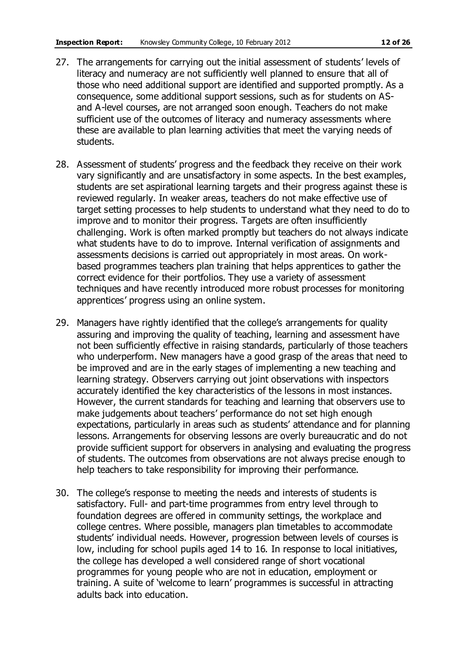- 27. The arrangements for carrying out the initial assessment of students' levels of literacy and numeracy are not sufficiently well planned to ensure that all of those who need additional support are identified and supported promptly. As a consequence, some additional support sessions, such as for students on ASand A-level courses, are not arranged soon enough. Teachers do not make sufficient use of the outcomes of literacy and numeracy assessments where these are available to plan learning activities that meet the varying needs of students.
- 28. Assessment of students' progress and the feedback they receive on their work vary significantly and are unsatisfactory in some aspects. In the best examples, students are set aspirational learning targets and their progress against these is reviewed regularly. In weaker areas, teachers do not make effective use of target setting processes to help students to understand what they need to do to improve and to monitor their progress. Targets are often insufficiently challenging. Work is often marked promptly but teachers do not always indicate what students have to do to improve. Internal verification of assignments and assessments decisions is carried out appropriately in most areas. On workbased programmes teachers plan training that helps apprentices to gather the correct evidence for their portfolios. They use a variety of assessment techniques and have recently introduced more robust processes for monitoring apprentices' progress using an online system.
- 29. Managers have rightly identified that the college's arrangements for quality assuring and improving the quality of teaching, learning and assessment have not been sufficiently effective in raising standards, particularly of those teachers who underperform. New managers have a good grasp of the areas that need to be improved and are in the early stages of implementing a new teaching and learning strategy. Observers carrying out joint observations with inspectors accurately identified the key characteristics of the lessons in most instances. However, the current standards for teaching and learning that observers use to make judgements about teachers' performance do not set high enough expectations, particularly in areas such as students' attendance and for planning lessons. Arrangements for observing lessons are overly bureaucratic and do not provide sufficient support for observers in analysing and evaluating the progress of students. The outcomes from observations are not always precise enough to help teachers to take responsibility for improving their performance.
- 30. The college's response to meeting the needs and interests of students is satisfactory. Full- and part-time programmes from entry level through to foundation degrees are offered in community settings, the workplace and college centres. Where possible, managers plan timetables to accommodate students' individual needs. However, progression between levels of courses is low, including for school pupils aged 14 to 16. In response to local initiatives, the college has developed a well considered range of short vocational programmes for young people who are not in education, employment or training. A suite of 'welcome to learn' programmes is successful in attracting adults back into education.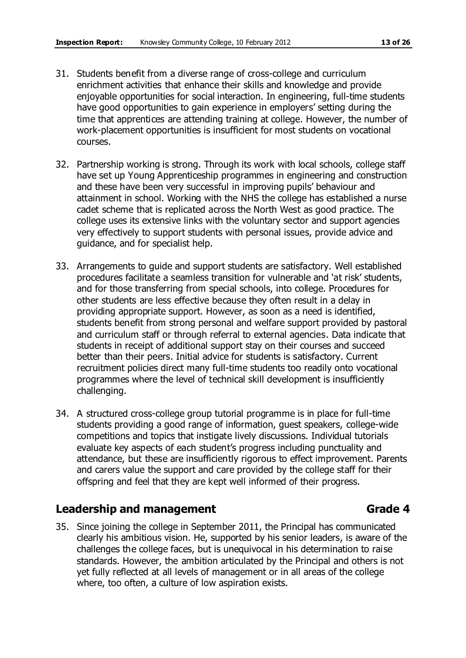- 31. Students benefit from a diverse range of cross-college and curriculum enrichment activities that enhance their skills and knowledge and provide enjoyable opportunities for social interaction. In engineering, full-time students have good opportunities to gain experience in employers' setting during the time that apprentices are attending training at college. However, the number of work-placement opportunities is insufficient for most students on vocational courses.
- 32. Partnership working is strong. Through its work with local schools, college staff have set up Young Apprenticeship programmes in engineering and construction and these have been very successful in improving pupils' behaviour and attainment in school. Working with the NHS the college has established a nurse cadet scheme that is replicated across the North West as good practice. The college uses its extensive links with the voluntary sector and support agencies very effectively to support students with personal issues, provide advice and guidance, and for specialist help.
- 33. Arrangements to guide and support students are satisfactory. Well established procedures facilitate a seamless transition for vulnerable and 'at risk' students, and for those transferring from special schools, into college. Procedures for other students are less effective because they often result in a delay in providing appropriate support. However, as soon as a need is identified, students benefit from strong personal and welfare support provided by pastoral and curriculum staff or through referral to external agencies. Data indicate that students in receipt of additional support stay on their courses and succeed better than their peers. Initial advice for students is satisfactory. Current recruitment policies direct many full-time students too readily onto vocational programmes where the level of technical skill development is insufficiently challenging.
- 34. A structured cross-college group tutorial programme is in place for full-time students providing a good range of information, guest speakers, college-wide competitions and topics that instigate lively discussions. Individual tutorials evaluate key aspects of each student's progress including punctuality and attendance, but these are insufficiently rigorous to effect improvement. Parents and carers value the support and care provided by the college staff for their offspring and feel that they are kept well informed of their progress.

#### **Leadership and management Grade 4**

35. Since joining the college in September 2011, the Principal has communicated clearly his ambitious vision. He, supported by his senior leaders, is aware of the challenges the college faces, but is unequivocal in his determination to raise standards. However, the ambition articulated by the Principal and others is not yet fully reflected at all levels of management or in all areas of the college where, too often, a culture of low aspiration exists.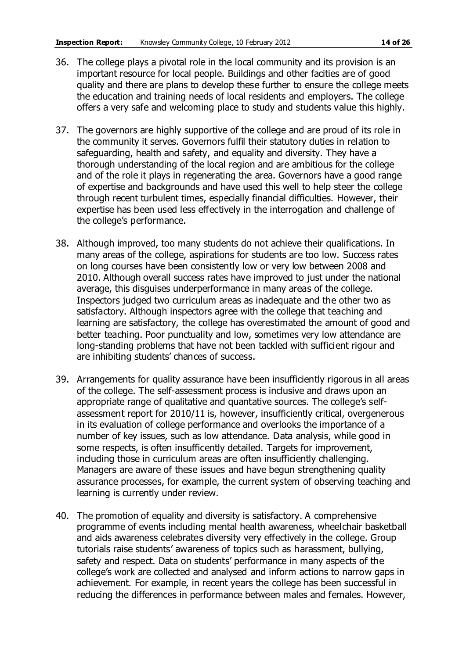- 36. The college plays a pivotal role in the local community and its provision is an important resource for local people. Buildings and other facities are of good quality and there are plans to develop these further to ensure the college meets the education and training needs of local residents and employers. The college offers a very safe and welcoming place to study and students value this highly.
- 37. The governors are highly supportive of the college and are proud of its role in the community it serves. Governors fulfil their statutory duties in relation to safeguarding, health and safety, and equality and diversity. They have a thorough understanding of the local region and are ambitious for the college and of the role it plays in regenerating the area. Governors have a good range of expertise and backgrounds and have used this well to help steer the college through recent turbulent times, especially financial difficulties. However, their expertise has been used less effectively in the interrogation and challenge of the college's performance.
- 38. Although improved, too many students do not achieve their qualifications. In many areas of the college, aspirations for students are too low. Success rates on long courses have been consistently low or very low between 2008 and 2010. Although overall success rates have improved to just under the national average, this disguises underperformance in many areas of the college. Inspectors judged two curriculum areas as inadequate and the other two as satisfactory. Although inspectors agree with the college that teaching and learning are satisfactory, the college has overestimated the amount of good and better teaching. Poor punctuality and low, sometimes very low attendance are long-standing problems that have not been tackled with sufficient rigour and are inhibiting students' chances of success.
- 39. Arrangements for quality assurance have been insufficiently rigorous in all areas of the college. The self-assessment process is inclusive and draws upon an appropriate range of qualitative and quantative sources. The college's selfassessment report for 2010/11 is, however, insufficiently critical, overgenerous in its evaluation of college performance and overlooks the importance of a number of key issues, such as low attendance. Data analysis, while good in some respects, is often insufficently detailed. Targets for improvement, including those in curriculum areas are often insufficiently challenging. Managers are aware of these issues and have begun strengthening quality assurance processes, for example, the current system of observing teaching and learning is currently under review.
- 40. The promotion of equality and diversity is satisfactory. A comprehensive programme of events including mental health awareness, wheelchair basketball and aids awareness celebrates diversity very effectively in the college. Group tutorials raise students' awareness of topics such as harassment, bullying, safety and respect. Data on students' performance in many aspects of the college's work are collected and analysed and inform actions to narrow gaps in achievement. For example, in recent years the college has been successful in reducing the differences in performance between males and females. However,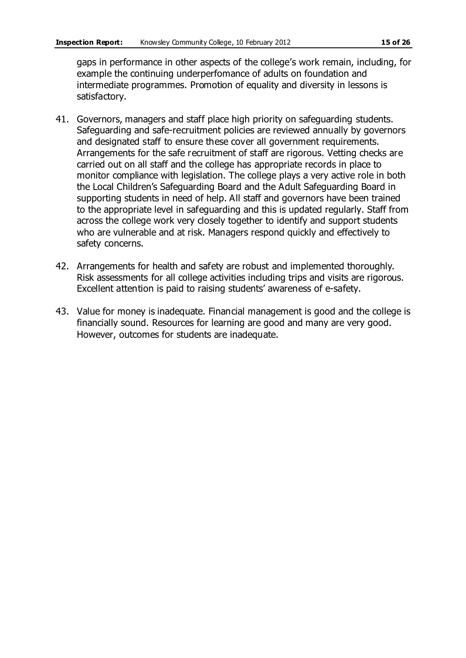gaps in performance in other aspects of the college's work remain, including, for example the continuing underperfomance of adults on foundation and intermediate programmes. Promotion of equality and diversity in lessons is satisfactory.

- 41. Governors, managers and staff place high priority on safeguarding students. Safeguarding and safe-recruitment policies are reviewed annually by governors and designated staff to ensure these cover all government requirements. Arrangements for the safe recruitment of staff are rigorous. Vetting checks are carried out on all staff and the college has appropriate records in place to monitor compliance with legislation. The college plays a very active role in both the Local Children's Safeguarding Board and the Adult Safeguarding Board in supporting students in need of help. All staff and governors have been trained to the appropriate level in safeguarding and this is updated regularly. Staff from across the college work very closely together to identify and support students who are vulnerable and at risk. Managers respond quickly and effectively to safety concerns.
- 42. Arrangements for health and safety are robust and implemented thoroughly. Risk assessments for all college activities including trips and visits are rigorous. Excellent attention is paid to raising students' awareness of e-safety.
- 43. Value for money is inadequate. Financial management is good and the college is financially sound. Resources for learning are good and many are very good. However, outcomes for students are inadequate.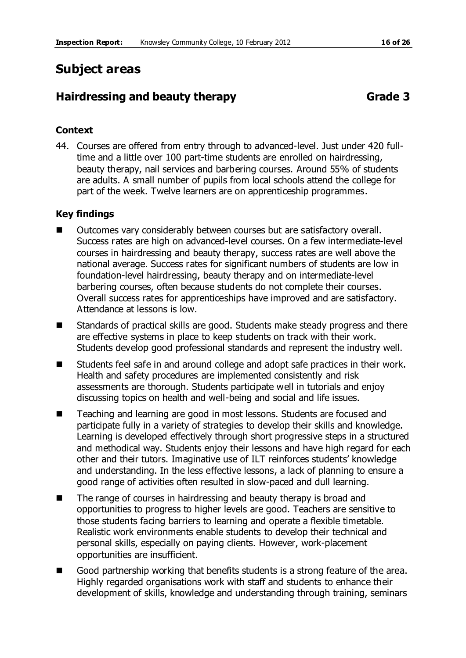# **Subject areas**

### **Hairdressing and beauty therapy <b>Grade 3** Grade 3

#### **Context**

44. Courses are offered from entry through to advanced-level. Just under 420 fulltime and a little over 100 part-time students are enrolled on hairdressing, beauty therapy, nail services and barbering courses. Around 55% of students are adults. A small number of pupils from local schools attend the college for part of the week. Twelve learners are on apprenticeship programmes.

#### **Key findings**

- Outcomes vary considerably between courses but are satisfactory overall. Success rates are high on advanced-level courses. On a few intermediate-level courses in hairdressing and beauty therapy, success rates are well above the national average. Success rates for significant numbers of students are low in foundation-level hairdressing, beauty therapy and on intermediate-level barbering courses, often because students do not complete their courses. Overall success rates for apprenticeships have improved and are satisfactory. Attendance at lessons is low.
- Standards of practical skills are good. Students make steady progress and there are effective systems in place to keep students on track with their work. Students develop good professional standards and represent the industry well.
- Students feel safe in and around college and adopt safe practices in their work. Health and safety procedures are implemented consistently and risk assessments are thorough. Students participate well in tutorials and enjoy discussing topics on health and well-being and social and life issues.
- Teaching and learning are good in most lessons. Students are focused and participate fully in a variety of strategies to develop their skills and knowledge. Learning is developed effectively through short progressive steps in a structured and methodical way. Students enjoy their lessons and have high regard for each other and their tutors. Imaginative use of ILT reinforces students' knowledge and understanding. In the less effective lessons, a lack of planning to ensure a good range of activities often resulted in slow-paced and dull learning.
- The range of courses in hairdressing and beauty therapy is broad and opportunities to progress to higher levels are good. Teachers are sensitive to those students facing barriers to learning and operate a flexible timetable. Realistic work environments enable students to develop their technical and personal skills, especially on paying clients. However, work-placement opportunities are insufficient.
- Good partnership working that benefits students is a strong feature of the area. Highly regarded organisations work with staff and students to enhance their development of skills, knowledge and understanding through training, seminars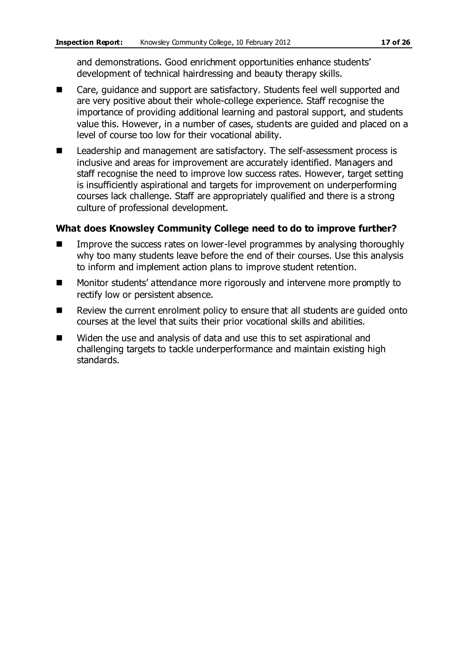and demonstrations. Good enrichment opportunities enhance students' development of technical hairdressing and beauty therapy skills.

- Care, guidance and support are satisfactory. Students feel well supported and are very positive about their whole-college experience. Staff recognise the importance of providing additional learning and pastoral support, and students value this. However, in a number of cases, students are guided and placed on a level of course too low for their vocational ability.
- Leadership and management are satisfactory. The self-assessment process is inclusive and areas for improvement are accurately identified. Managers and staff recognise the need to improve low success rates. However, target setting is insufficiently aspirational and targets for improvement on underperforming courses lack challenge. Staff are appropriately qualified and there is a strong culture of professional development.

#### **What does Knowsley Community College need to do to improve further?**

- Improve the success rates on lower-level programmes by analysing thoroughly why too many students leave before the end of their courses. Use this analysis to inform and implement action plans to improve student retention.
- Monitor students' attendance more rigorously and intervene more promptly to rectify low or persistent absence.
- Review the current enrolment policy to ensure that all students are quided onto courses at the level that suits their prior vocational skills and abilities.
- Widen the use and analysis of data and use this to set aspirational and challenging targets to tackle underperformance and maintain existing high standards.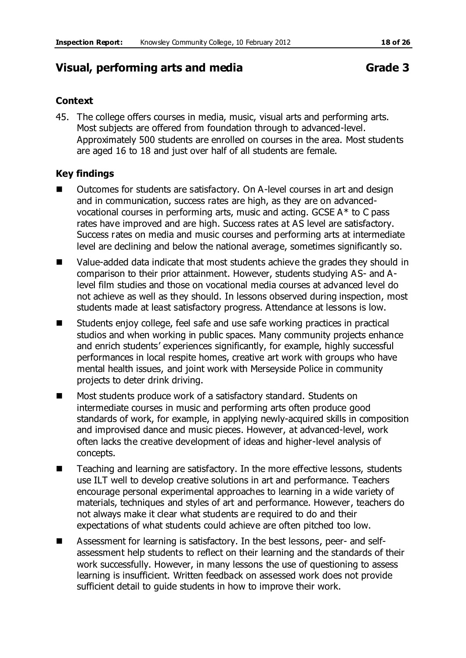### **Visual, performing arts and media Grade 3**

#### **Context**

45. The college offers courses in media, music, visual arts and performing arts. Most subjects are offered from foundation through to advanced-level. Approximately 500 students are enrolled on courses in the area. Most students are aged 16 to 18 and just over half of all students are female.

#### **Key findings**

- Outcomes for students are satisfactory. On A-level courses in art and design and in communication, success rates are high, as they are on advancedvocational courses in performing arts, music and acting. GCSE A\* to C pass rates have improved and are high. Success rates at AS level are satisfactory. Success rates on media and music courses and performing arts at intermediate level are declining and below the national average, sometimes significantly so.
- Value-added data indicate that most students achieve the grades they should in comparison to their prior attainment. However, students studying AS- and Alevel film studies and those on vocational media courses at advanced level do not achieve as well as they should. In lessons observed during inspection, most students made at least satisfactory progress. Attendance at lessons is low.
- Students enjoy college, feel safe and use safe working practices in practical studios and when working in public spaces. Many community projects enhance and enrich students' experiences significantly, for example, highly successful performances in local respite homes, creative art work with groups who have mental health issues, and joint work with Merseyside Police in community projects to deter drink driving.
- Most students produce work of a satisfactory standard. Students on intermediate courses in music and performing arts often produce good standards of work, for example, in applying newly-acquired skills in composition and improvised dance and music pieces. However, at advanced-level, work often lacks the creative development of ideas and higher-level analysis of concepts.
- Teaching and learning are satisfactory. In the more effective lessons, students use ILT well to develop creative solutions in art and performance. Teachers encourage personal experimental approaches to learning in a wide variety of materials, techniques and styles of art and performance. However, teachers do not always make it clear what students are required to do and their expectations of what students could achieve are often pitched too low.
- Assessment for learning is satisfactory. In the best lessons, peer- and selfassessment help students to reflect on their learning and the standards of their work successfully. However, in many lessons the use of questioning to assess learning is insufficient. Written feedback on assessed work does not provide sufficient detail to guide students in how to improve their work.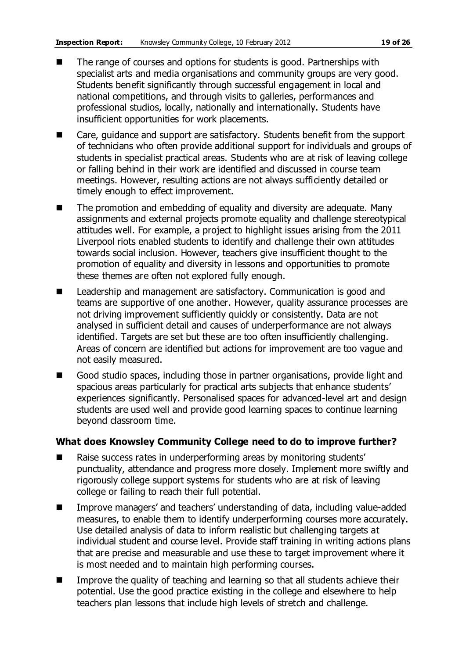- The range of courses and options for students is good. Partnerships with specialist arts and media organisations and community groups are very good. Students benefit significantly through successful engagement in local and national competitions, and through visits to galleries, performances and professional studios, locally, nationally and internationally. Students have insufficient opportunities for work placements.
- Care, quidance and support are satisfactory. Students benefit from the support of technicians who often provide additional support for individuals and groups of students in specialist practical areas. Students who are at risk of leaving college or falling behind in their work are identified and discussed in course team meetings. However, resulting actions are not always sufficiently detailed or timely enough to effect improvement.
- The promotion and embedding of equality and diversity are adequate. Many assignments and external projects promote equality and challenge stereotypical attitudes well. For example, a project to highlight issues arising from the 2011 Liverpool riots enabled students to identify and challenge their own attitudes towards social inclusion. However, teachers give insufficient thought to the promotion of equality and diversity in lessons and opportunities to promote these themes are often not explored fully enough.
- Leadership and management are satisfactory. Communication is good and teams are supportive of one another. However, quality assurance processes are not driving improvement sufficiently quickly or consistently. Data are not analysed in sufficient detail and causes of underperformance are not always identified. Targets are set but these are too often insufficiently challenging. Areas of concern are identified but actions for improvement are too vague and not easily measured.
- Good studio spaces, including those in partner organisations, provide light and spacious areas particularly for practical arts subjects that enhance students' experiences significantly. Personalised spaces for advanced-level art and design students are used well and provide good learning spaces to continue learning beyond classroom time.

#### **What does Knowsley Community College need to do to improve further?**

- Raise success rates in underperforming areas by monitoring students' punctuality, attendance and progress more closely. Implement more swiftly and rigorously college support systems for students who are at risk of leaving college or failing to reach their full potential.
- Improve managers' and teachers' understanding of data, including value-added measures, to enable them to identify underperforming courses more accurately. Use detailed analysis of data to inform realistic but challenging targets at individual student and course level. Provide staff training in writing actions plans that are precise and measurable and use these to target improvement where it is most needed and to maintain high performing courses.
- $\blacksquare$  Improve the quality of teaching and learning so that all students achieve their potential. Use the good practice existing in the college and elsewhere to help teachers plan lessons that include high levels of stretch and challenge.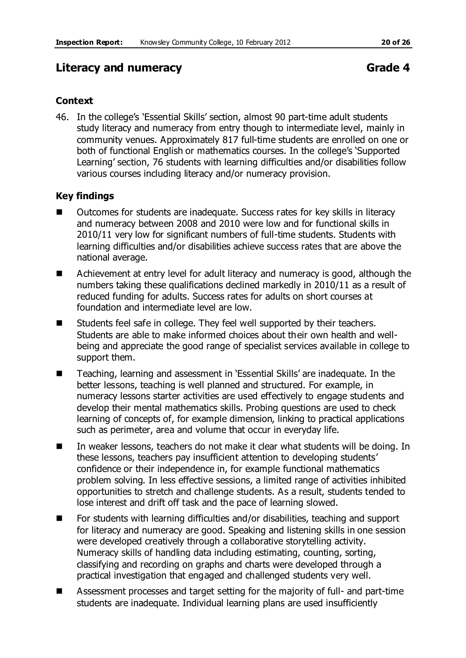#### **Literacy and numeracy Community Community Community Community Community Community Community Community Community**

#### **Context**

46. In the college's 'Essential Skills' section, almost 90 part-time adult students study literacy and numeracy from entry though to intermediate level, mainly in community venues. Approximately 817 full-time students are enrolled on one or both of functional English or mathematics courses. In the college's 'Supported Learning' section, 76 students with learning difficulties and/or disabilities follow various courses including literacy and/or numeracy provision.

#### **Key findings**

- Outcomes for students are inadequate. Success rates for key skills in literacy and numeracy between 2008 and 2010 were low and for functional skills in 2010/11 very low for significant numbers of full-time students. Students with learning difficulties and/or disabilities achieve success rates that are above the national average.
- Achievement at entry level for adult literacy and numeracy is good, although the numbers taking these qualifications declined markedly in 2010/11 as a result of reduced funding for adults. Success rates for adults on short courses at foundation and intermediate level are low.
- Students feel safe in college. They feel well supported by their teachers. Students are able to make informed choices about their own health and wellbeing and appreciate the good range of specialist services available in college to support them.
- Teaching, learning and assessment in 'Essential Skills' are inadequate. In the better lessons, teaching is well planned and structured. For example, in numeracy lessons starter activities are used effectively to engage students and develop their mental mathematics skills. Probing questions are used to check learning of concepts of, for example dimension, linking to practical applications such as perimeter, area and volume that occur in everyday life.
- In weaker lessons, teachers do not make it clear what students will be doing. In these lessons, teachers pay insufficient attention to developing students' confidence or their independence in, for example functional mathematics problem solving. In less effective sessions, a limited range of activities inhibited opportunities to stretch and challenge students. As a result, students tended to lose interest and drift off task and the pace of learning slowed.
- For students with learning difficulties and/or disabilities, teaching and support for literacy and numeracy are good. Speaking and listening skills in one session were developed creatively through a collaborative storytelling activity. Numeracy skills of handling data including estimating, counting, sorting, classifying and recording on graphs and charts were developed through a practical investigation that engaged and challenged students very well.
- Assessment processes and target setting for the majority of full- and part-time students are inadequate. Individual learning plans are used insufficiently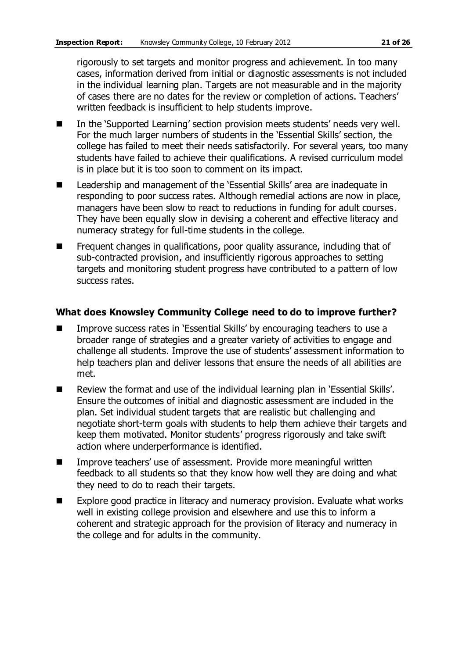rigorously to set targets and monitor progress and achievement. In too many cases, information derived from initial or diagnostic assessments is not included in the individual learning plan. Targets are not measurable and in the majority of cases there are no dates for the review or completion of actions. Teachers' written feedback is insufficient to help students improve.

- In the 'Supported Learning' section provision meets students' needs very well. For the much larger numbers of students in the 'Essential Skills' section, the college has failed to meet their needs satisfactorily. For several years, too many students have failed to achieve their qualifications. A revised curriculum model is in place but it is too soon to comment on its impact.
- Leadership and management of the 'Essential Skills' area are inadequate in responding to poor success rates. Although remedial actions are now in place, managers have been slow to react to reductions in funding for adult courses. They have been equally slow in devising a coherent and effective literacy and numeracy strategy for full-time students in the college.
- **F** Frequent changes in qualifications, poor quality assurance, including that of sub-contracted provision, and insufficiently rigorous approaches to setting targets and monitoring student progress have contributed to a pattern of low success rates.

#### **What does Knowsley Community College need to do to improve further?**

- Improve success rates in 'Essential Skills' by encouraging teachers to use a broader range of strategies and a greater variety of activities to engage and challenge all students. Improve the use of students' assessment information to help teachers plan and deliver lessons that ensure the needs of all abilities are met.
- Review the format and use of the individual learning plan in 'Essential Skills'. Ensure the outcomes of initial and diagnostic assessment are included in the plan. Set individual student targets that are realistic but challenging and negotiate short-term goals with students to help them achieve their targets and keep them motivated. Monitor students' progress rigorously and take swift action where underperformance is identified.
- Improve teachers' use of assessment. Provide more meaningful written feedback to all students so that they know how well they are doing and what they need to do to reach their targets.
- Explore good practice in literacy and numeracy provision. Evaluate what works well in existing college provision and elsewhere and use this to inform a coherent and strategic approach for the provision of literacy and numeracy in the college and for adults in the community.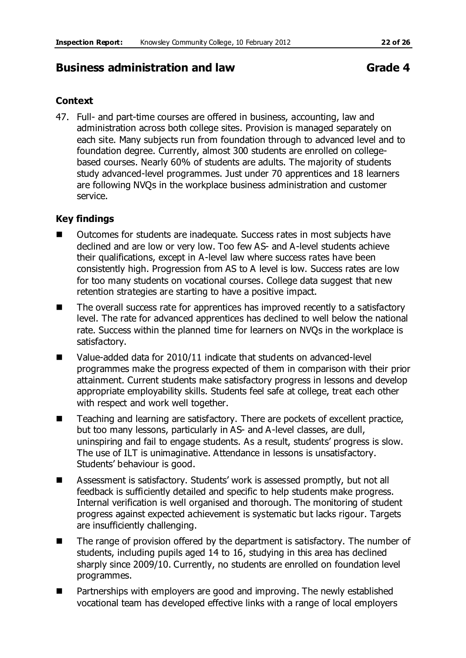#### **Business administration and law business administration and law Grade 4**

#### **Context**

47. Full- and part-time courses are offered in business, accounting, law and administration across both college sites. Provision is managed separately on each site. Many subjects run from foundation through to advanced level and to foundation degree. Currently, almost 300 students are enrolled on collegebased courses. Nearly 60% of students are adults. The majority of students study advanced-level programmes. Just under 70 apprentices and 18 learners are following NVQs in the workplace business administration and customer service.

#### **Key findings**

- Outcomes for students are inadequate. Success rates in most subjects have declined and are low or very low. Too few AS- and A-level students achieve their qualifications, except in A-level law where success rates have been consistently high. Progression from AS to A level is low. Success rates are low for too many students on vocational courses. College data suggest that new retention strategies are starting to have a positive impact.
- The overall success rate for apprentices has improved recently to a satisfactory level. The rate for advanced apprentices has declined to well below the national rate. Success within the planned time for learners on NVQs in the workplace is satisfactory.
- Value-added data for 2010/11 indicate that students on advanced-level programmes make the progress expected of them in comparison with their prior attainment. Current students make satisfactory progress in lessons and develop appropriate employability skills. Students feel safe at college, treat each other with respect and work well together.
- Teaching and learning are satisfactory. There are pockets of excellent practice, but too many lessons, particularly in AS- and A-level classes, are dull, uninspiring and fail to engage students. As a result, students' progress is slow. The use of ILT is unimaginative. Attendance in lessons is unsatisfactory. Students' behaviour is good.
- Assessment is satisfactory. Students' work is assessed promptly, but not all feedback is sufficiently detailed and specific to help students make progress. Internal verification is well organised and thorough. The monitoring of student progress against expected achievement is systematic but lacks rigour. Targets are insufficiently challenging.
- The range of provision offered by the department is satisfactory. The number of students, including pupils aged 14 to 16, studying in this area has declined sharply since 2009/10. Currently, no students are enrolled on foundation level programmes.
- Partnerships with employers are good and improving. The newly established vocational team has developed effective links with a range of local employers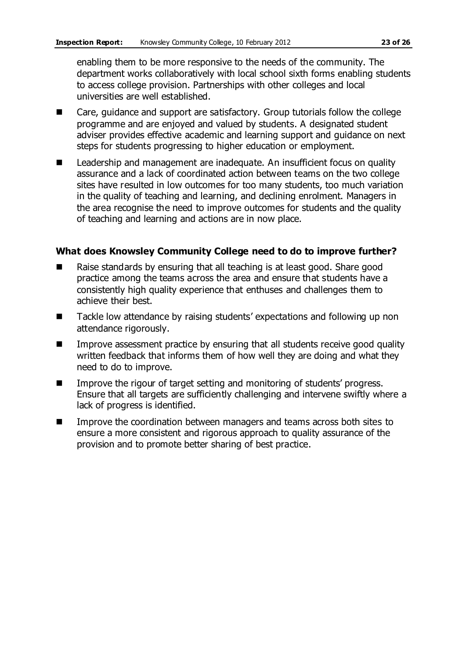enabling them to be more responsive to the needs of the community. The department works collaboratively with local school sixth forms enabling students to access college provision. Partnerships with other colleges and local universities are well established.

- Care, guidance and support are satisfactory. Group tutorials follow the college programme and are enjoyed and valued by students. A designated student adviser provides effective academic and learning support and guidance on next steps for students progressing to higher education or employment.
- Leadership and management are inadequate. An insufficient focus on quality assurance and a lack of coordinated action between teams on the two college sites have resulted in low outcomes for too many students, too much variation in the quality of teaching and learning, and declining enrolment. Managers in the area recognise the need to improve outcomes for students and the quality of teaching and learning and actions are in now place.

#### **What does Knowsley Community College need to do to improve further?**

- Raise standards by ensuring that all teaching is at least good. Share good practice among the teams across the area and ensure that students have a consistently high quality experience that enthuses and challenges them to achieve their best.
- Tackle low attendance by raising students' expectations and following up non attendance rigorously.
- **IMPROVE ASSESSMENT PRACTICE BY ENSURIES** THAT All students receive good quality written feedback that informs them of how well they are doing and what they need to do to improve.
- Improve the rigour of target setting and monitoring of students' progress. Ensure that all targets are sufficiently challenging and intervene swiftly where a lack of progress is identified.
- **IMPROVE THE COOL INCOCOCO EXAM** Improve the coordination between managers and teams across both sites to ensure a more consistent and rigorous approach to quality assurance of the provision and to promote better sharing of best practice.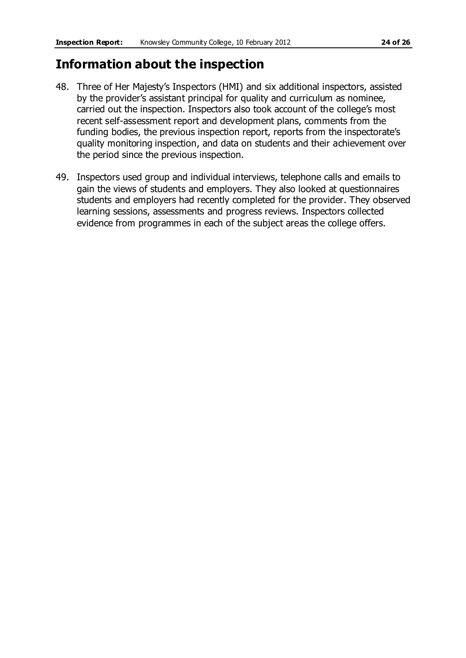# **Information about the inspection**

- 48. Three of Her Majesty's Inspectors (HMI) and six additional inspectors, assisted by the provider's assistant principal for quality and curriculum as nominee, carried out the inspection. Inspectors also took account of the college's most recent self-assessment report and development plans, comments from the funding bodies, the previous inspection report, reports from the inspectorate's quality monitoring inspection, and data on students and their achievement over the period since the previous inspection.
- 49. Inspectors used group and individual interviews, telephone calls and emails to gain the views of students and employers. They also looked at questionnaires students and employers had recently completed for the provider. They observed learning sessions, assessments and progress reviews. Inspectors collected evidence from programmes in each of the subject areas the college offers.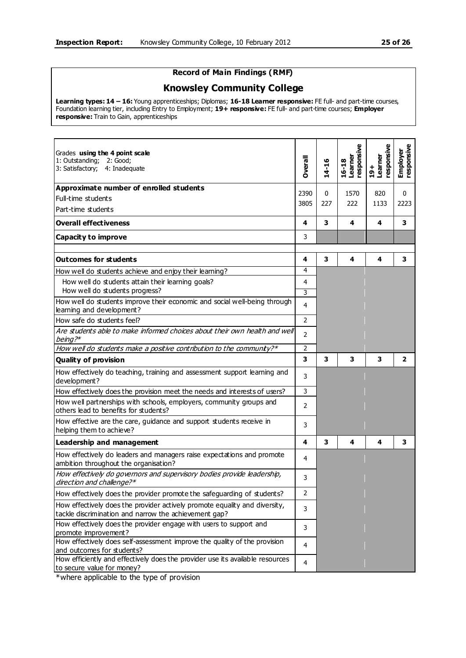#### **Record of Main Findings (RMF)**

#### **Knowsley Community College**

**Learning types: 14 – 16:** Young apprenticeships; Diplomas; **16-18 Learner responsive:** FE full- and part-time courses, Foundation learning tier, including Entry to Employment; **19+ responsive:** FE full- and part-time courses; **Employer responsive:** Train to Gain, apprenticeships

| Grades using the 4 point scale<br>1: Outstanding;<br>2: Good;<br>3: Satisfactory; 4: Inadequate                                     | <b>Dverall</b> | $14 - 16$ | esponsive<br>Learner<br>16-18 | esponsive<br>Learner<br>$19+$ | Employer<br>responsive |
|-------------------------------------------------------------------------------------------------------------------------------------|----------------|-----------|-------------------------------|-------------------------------|------------------------|
| Approximate number of enrolled students                                                                                             |                |           |                               |                               |                        |
| Full-time students                                                                                                                  | 2390           | 0         | 1570                          | 820                           | $\mathbf 0$            |
| Part-time students                                                                                                                  | 3805           | 227       | 222                           | 1133                          | 2223                   |
| <b>Overall effectiveness</b>                                                                                                        | 4              | 3         | 4                             | 4                             | 3                      |
| <b>Capacity to improve</b>                                                                                                          | 3              |           |                               |                               |                        |
| <b>Outcomes for students</b>                                                                                                        | 4              | 3         | 4                             | 4                             | 3                      |
| How well do students achieve and enjoy their learning?                                                                              | 4              |           |                               |                               |                        |
| How well do students attain their learning goals?                                                                                   | 4              |           |                               |                               |                        |
| How well do students progress?                                                                                                      | 3              |           |                               |                               |                        |
| How well do students improve their economic and social well-being through<br>learning and development?                              | 4              |           |                               |                               |                        |
| How safe do students feel?                                                                                                          | $\overline{2}$ |           |                               |                               |                        |
| Are students able to make informed choices about their own health and well<br>being?*                                               | $\overline{2}$ |           |                               |                               |                        |
| How well do students make a positive contribution to the community?*                                                                | $\overline{2}$ |           |                               |                               |                        |
| <b>Quality of provision</b>                                                                                                         | 3              | 3         | 3                             | 3                             | $\mathbf{z}$           |
| How effectively do teaching, training and assessment support learning and<br>development?                                           | 3              |           |                               |                               |                        |
| How effectively does the provision meet the needs and interests of users?                                                           | 3              |           |                               |                               |                        |
| How well partnerships with schools, employers, community groups and<br>others lead to benefits for students?                        | $\overline{2}$ |           |                               |                               |                        |
| How effective are the care, guidance and support students receive in<br>helping them to achieve?                                    | 3              |           |                               |                               |                        |
| <b>Leadership and management</b>                                                                                                    | 4              | 3         | 4                             | 4                             | 3                      |
| How effectively do leaders and managers raise expectations and promote<br>ambition throughout the organisation?                     | 4              |           |                               |                               |                        |
| How effectively do governors and supervisory bodies provide leadership,<br>direction and challenge?*                                | 3              |           |                               |                               |                        |
| How effectively does the provider promote the safeguarding of students?                                                             | 2              |           |                               |                               |                        |
| How effectively does the provider actively promote equality and diversity,<br>tackle discrimination and narrow the achievement gap? | 3              |           |                               |                               |                        |
| How effectively does the provider engage with users to support and                                                                  | 3              |           |                               |                               |                        |
| promote improvement?                                                                                                                |                |           |                               |                               |                        |
| How effectively does self-assessment improve the quality of the provision<br>and outcomes for students?                             | 4              |           |                               |                               |                        |
| How efficiently and effectively does the provider use its available resources<br>to secure value for money?                         | $\overline{4}$ |           |                               |                               |                        |

\*where applicable to the type of provision